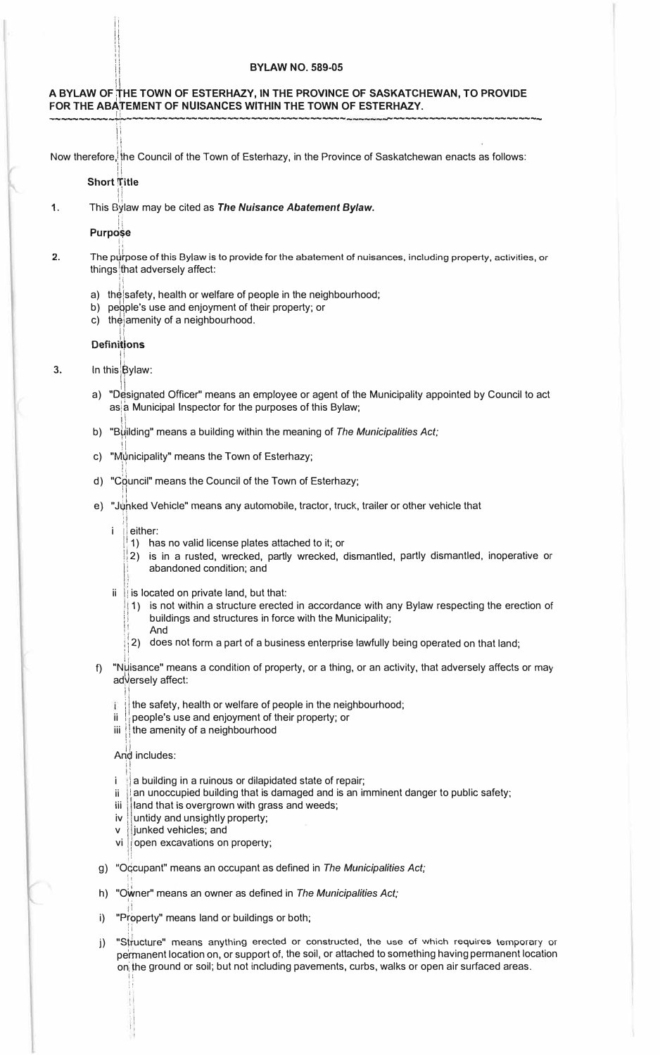#### **ii BYLAW NO. 589-05**

# **A BYLAW OF�HE TOWN OF ESTERHAZY, IN THE PROVINCE OF SASKATCHEWAN, TO PROVIDE** ~------------------------------------ -------------------------- **FOR THE ABATEMENT OF NUISANCES WITHIN THE TOWN OF ESTERHAZY.** - II ---------~r

:1 Now therefore,[the Council of the Town of Esterhazy, in the Province of Saskatchewan enacts as follows:

 $\prod_{i=1}^{n}$ **Short T**itle Ii

II II ii Ii ii II ii Ii ii II ii II ii II ii II ii II ii II ii II ii II ii II ii II ii II ii II ii II ii II i<br>Ii ii II ii II ii II ii II ii II ii II ii II ii II ii II ii II ii II ii II ii II ii II ii II ii II ii II ii II II !! Ii

1,

Ii 1. This By,1aw may be cited as *The Nuisance Abatement Bylaw.*

1: **Purpo\$e**

[;  $, \, \epsilon$ 

!!

- 2. The purpose of this Bylaw is to provide for the abatement of nuisances, including property, activities, or things that adversely affect:
	- ll a) the safety, health or welfare of people in the neighbourhood;
	- b) people's use and enjoyment of their property; or
	- c) the amenity of a neighbourhood. Ii

## Definitions

 $\mathbf{1}$ 

- **3.** In this Bylaw:
	- ·I a) "D�signated Officer" means an employee or agent of the Municipality appointed by Council to act as a Municipal Inspector for the purposes of this Bylaw;
	- b) "Building" means a building within the meaning of *The Municipalities Act*;
	- ii c) "M�nicipality" means the Town of Esterhazy;
	- d) "Council" means the Council of the Town of Esterhazy;
	- **e) "J��ked Vehicle" means any automobile, tractor, truck, trailer or other vehicle that**
		-
		- i either:<br>
		1) has no valid license plates attached to it; or
			- 2) is in a rusted, wrecked, partly wrecked, dismantled, partly dismantled, inoperative or abandoned condition; and
		- ' ii  $\parallel$  is located on private land, but that:
			- 1) is not within a structure erected in accordance with any Bylaw respecting the erection of buildings and structures in force with the Municipality; 1 **And**
			- 2) does not form a part of a business enterprise lawfully being operated on that land;
	- Ii f) "Nµisance" means a condition of property, or a thing, or an activity, that adversely affects or may adversely affect:
		- !1 i. the safety, health or welfare of people in the neighbourhood;
		- $ii$  | people's use and enjoyment of their property; or
		- iii | the amenity of a neighbourhood

And includes:  $\prod_{i=1}^n$ 

!i

ll

II ;, 1:

- 1:  $i$   $\parallel$  a building in a ruinous or dilapidated state of repair;
- an unoccupied building that is damaged and is an imminent danger to public safety;
- iii | land that is overgrown with grass and weeds;
- iv untidy and unsightly property;
- junked vehicles; and
- vi | open excavations on property;<br>|
- g) "Occupant" means an occupant as defined in *The Municipalities Act*;
- h) "Owner" means an owner as defined in *The Municipalities Act*;
- $\ddagger$ i) "Property" means land or buildings or both;
- ) "Structure" means anything erected or constructed, the use of which requires temporary or  $i)$ permanent location on, or support of, the soil, or attached to something having permanent location onithe ground or soil; but not including pavements, curbs, walks or open air surfaced areas.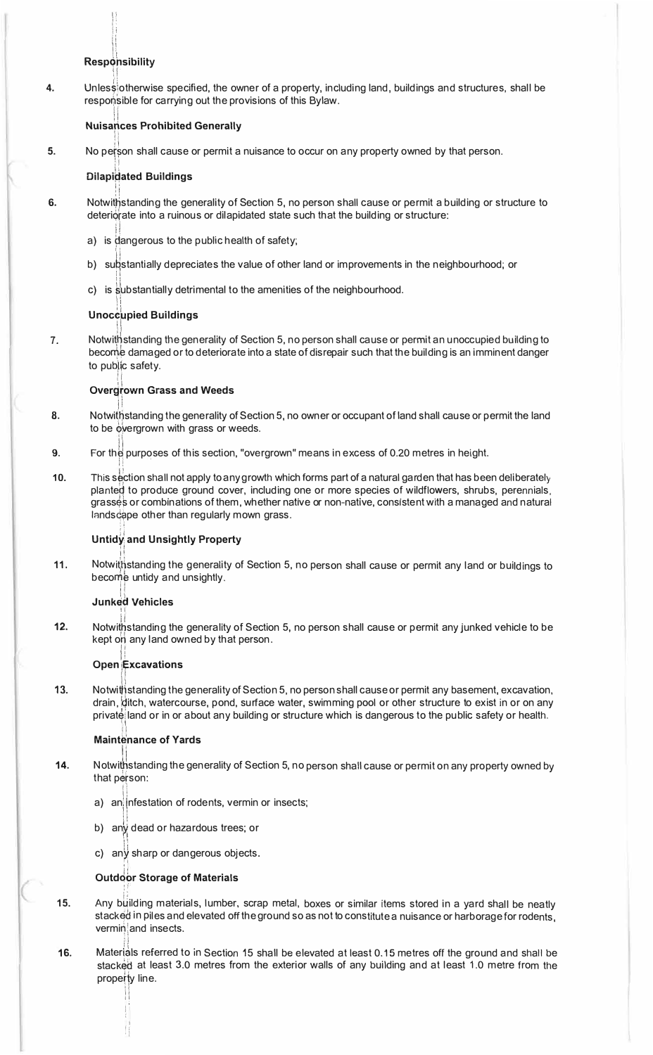## **Responsibility**

4. Unless otherwise specified, the owner of a property, including land, buildings and structures, shall be responsible for carrying out the provisions of this Bylaw.

## **Nuisances Prohibited Generally**

5. No person shall cause or permit a nuisance to occur on any property owned by that person.

## **Dilapidated Buildings**

- **6** Notwithstanding the generality of Section 5, no person shall cause or permit a building or structure to deteriorate into a ruinous or dilapidated state such that the building or structure:
	- a) is dangerous to the public health of safety;
	- b) substantially depreciates the value of other land or improvements in the neighbourhood; or
	- c) is substantially detrimental to the amenities of the neighbourhood.

## **Unoccupied Buildings**

7. Notwithstanding the generality of Section 5, no person shall cause or permit an unoccupied building to become damaged or to deteriorate into a state of disrepair such that the building is an imminent danger to public safety.

## **Overgrown Grass and Weeds**

- 8. Notwithstanding the generality of Section 5, no owner or occupant of land shall cause or permit the land to be overgrown with grass or weeds.
- For the purposes of this section, "overgrown" means in excess of 0.20 metres in height. 9.
- $10.$ This section shall not apply to any growth which forms part of a natural garden that has been deliberately planted to produce ground cover, including one or more species of wildflowers, shrubs, perennials, grasses or combinations of them, whether native or non-native, consistent with a managed and natural landscape other than regularly mown grass.

## **Untidy and Unsightly Property**

 $11.$ Notwithstanding the generality of Section 5, no person shall cause or permit any land or buildings to become untidy and unsightly.

## **Junked Vehicles**

 $12.$ Notwithstanding the generality of Section 5, no person shall cause or permit any junked vehicle to be kept on any land owned by that person.

## **Open Excavations**

Notwithstanding the generality of Section 5, no person shall cause or permit any basement, excavation,  $13.$ drain, ditch, watercourse, pond, surface water, swimming pool or other structure to exist in or on any private land or in or about any building or structure which is dangerous to the public safety or health.

## **Maintenance of Yards**

- 14. Notwithstanding the generality of Section 5, no person shall cause or permit on any property owned by that person:
	- a) an infestation of rodents, vermin or insects;
	- b) any dead or hazardous trees; or
	- c) any sharp or dangerous objects.

## **Outdoor Storage of Materials**

- 15. Any building materials, lumber, scrap metal, boxes or similar items stored in a yard shall be neatly stacked in piles and elevated off the ground so as not to constitute a nuisance or harborage for rodents, verminand insects.
- Materials referred to in Section 15 shall be elevated at least 0.15 metres off the ground and shall be 16. stacked at least 3.0 metres from the exterior walls of any building and at least 1.0 metre from the property line.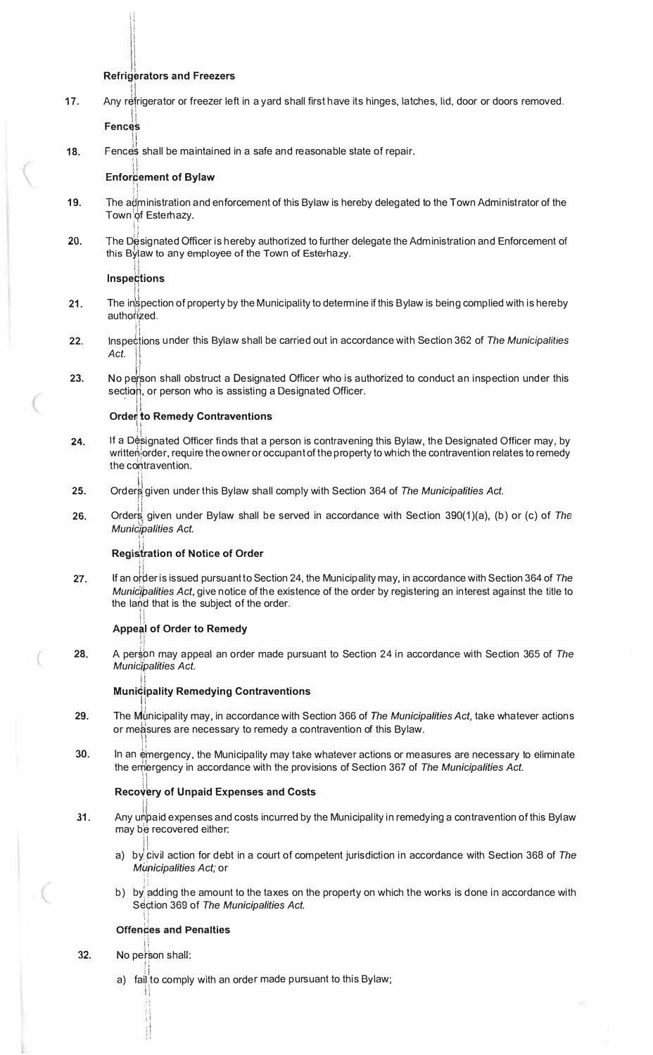#### I **Refrigerators and Freezers**

**17.** Any refrigerator or freezer left in a yard shall first have its hinges, latches, lid, door or doors removed.

**Fences** 

 $\mathfrak{t}$ 1! in the first of **International Communication** 

(

**18.**  Fences shall be maintained in a safe and reasonable state of repair.

#### **Enforcement of Bylaw**

- **19.**  The administration and enforcement of this Bylaw is hereby delegated to the Town Administrator of the Town of Esterhazy. |<br>|<br>|
- **20.**  The D�signated Officer is hereby authorized to further delegate the Administration and Enforcement of this Bylaw to any employee of the Town of Esterhazy.

## **inspections**

- **21.**  The inspection of property by the Municipality to determine if this Bylaw is being complied with is hereby authorized.
- **22.**  Inspections under this Bylaw shall be carried out in accordance with Section 362 of The Municipalities Act.
- **23.**  No person shall obstruct a Designated Officer who is authorized to conduct an inspection under this section, or person who is assisting a Designated Officer.<br>  $\begin{bmatrix} a & b \\ c & d \end{bmatrix}$

#### **Order to Remedy Contraventions**

- **24.**  If a Designated Officer finds that a person is contravening this Bylaw, the Designated Officer may, by writte $\phi$  order, require the owner or occupant of the property to which the contravention relates to remedy the contravention.
- **25.**  Orders given under this Bylaw shall comply with Section 364 of *The Municipalities Act.*
- **26.**  Orders given under Bylaw shall be served in accordance with Section 390(1)(a), (b) or (c) of *The Munic/palities Act.*

#### **Registration of Notice of Order** I·

Ii

**27.**  If an o��er is issued pursuant to Section 24, the Municipality may, in accordance with Section 364 of *The Municipalities Act*, give notice of the existence of the order by registering an interest against the title to the land that is the subject of the order. !i

#### **Appeal of Order to Remedy**

**28.**  Ii A person may appeal an order made pursuant to Section 24 in accordance with Section 365 of The *Munic';palities Act.* 

#### **1· Municipality Remedying Contraventions**

- **29.**  ii The rvhlmicipality may, in accordance with Section 366 of *The Municipalities Act,* take whatever actions or me�sures are necessary to remedy a contravention of this Bylaw. ,, I!
- **30.**  In an emergency, the Municipality may take whatever actions or measures are necessary to eliminate the embrgency in accordance with the provisions of Section 367 of *The Municipalities Act.* !I

#### **Recovery of Unpaid Expenses and Costs !i**

- **31.**  Any unpaid expenses and costs incurred by the Municipality in remedying a contravention of this Bylaw \_ may be recovered either:
	- ii a) by! pivil action for debt in a court of competent jurisdiction in accordance with Section 368 of *The Mi/ricipalities Act;* or
	- ll b) by adding the amount to the taxes on the property on which the works is done in accordance with Section 369 of *The Municipalities Act.*

## out the core of the *in*<br>Offences and Penalties **:i** ,.

32. No person shall: I;

> l l

'i

a) fai $\parallel$  to comply with an order made pursuant to this Bylaw; II